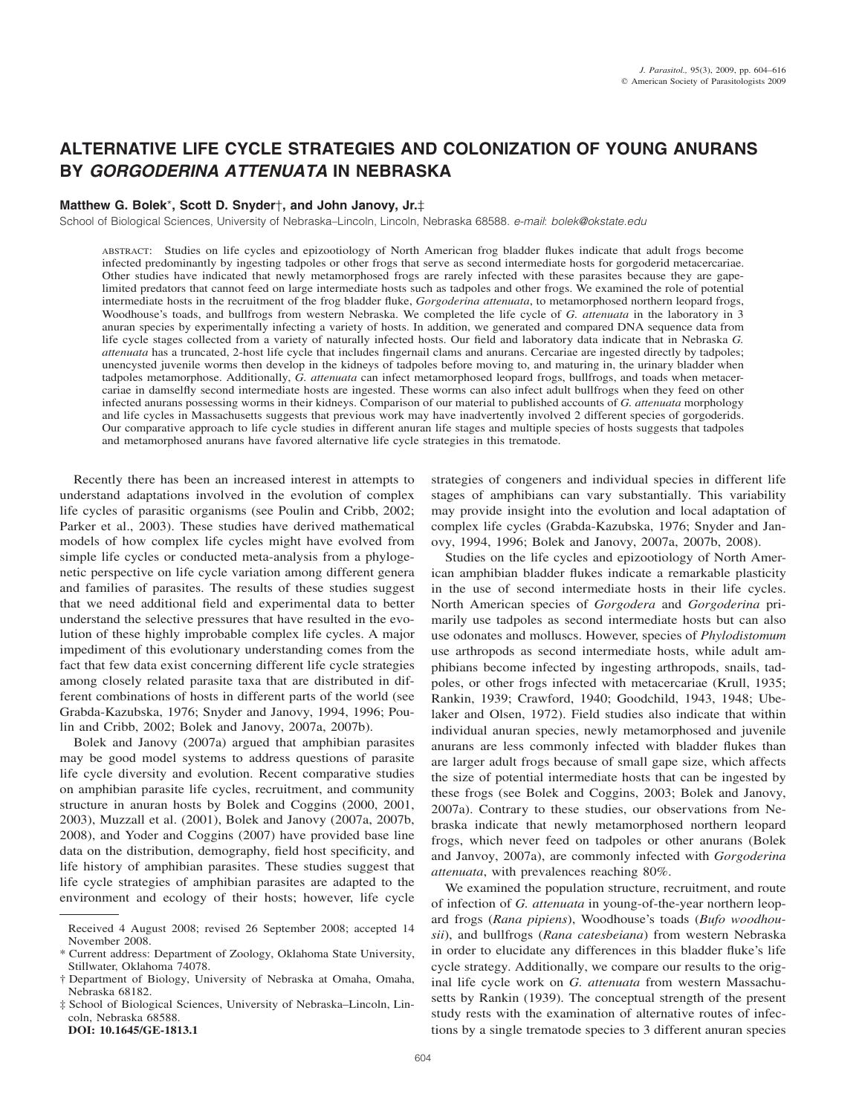# **ALTERNATIVE LIFE CYCLE STRATEGIES AND COLONIZATION OF YOUNG ANURANS BY** *GORGODERINA ATTENUATA* **IN NEBRASKA**

# **Matthew G. Bolek**\***, Scott D. Snyder**†**, and John Janovy, Jr.**‡

School of Biological Sciences, University of Nebraska–Lincoln, Lincoln, Nebraska 68588. *e-mail*: *bolek@okstate.edu*

ABSTRACT: Studies on life cycles and epizootiology of North American frog bladder flukes indicate that adult frogs become infected predominantly by ingesting tadpoles or other frogs that serve as second intermediate hosts for gorgoderid metacercariae. Other studies have indicated that newly metamorphosed frogs are rarely infected with these parasites because they are gapelimited predators that cannot feed on large intermediate hosts such as tadpoles and other frogs. We examined the role of potential intermediate hosts in the recruitment of the frog bladder fluke, *Gorgoderina attenuata*, to metamorphosed northern leopard frogs, Woodhouse's toads, and bullfrogs from western Nebraska. We completed the life cycle of *G. attenuata* in the laboratory in 3 anuran species by experimentally infecting a variety of hosts. In addition, we generated and compared DNA sequence data from life cycle stages collected from a variety of naturally infected hosts. Our field and laboratory data indicate that in Nebraska *G. attenuata* has a truncated, 2-host life cycle that includes fingernail clams and anurans. Cercariae are ingested directly by tadpoles; unencysted juvenile worms then develop in the kidneys of tadpoles before moving to, and maturing in, the urinary bladder when tadpoles metamorphose. Additionally, *G. attenuata* can infect metamorphosed leopard frogs, bullfrogs, and toads when metacercariae in damselfly second intermediate hosts are ingested. These worms can also infect adult bullfrogs when they feed on other infected anurans possessing worms in their kidneys. Comparison of our material to published accounts of *G. attenuata* morphology and life cycles in Massachusetts suggests that previous work may have inadvertently involved 2 different species of gorgoderids. Our comparative approach to life cycle studies in different anuran life stages and multiple species of hosts suggests that tadpoles and metamorphosed anurans have favored alternative life cycle strategies in this trematode.

Recently there has been an increased interest in attempts to understand adaptations involved in the evolution of complex life cycles of parasitic organisms (see Poulin and Cribb, 2002; Parker et al., 2003). These studies have derived mathematical models of how complex life cycles might have evolved from simple life cycles or conducted meta-analysis from a phylogenetic perspective on life cycle variation among different genera and families of parasites. The results of these studies suggest that we need additional field and experimental data to better understand the selective pressures that have resulted in the evolution of these highly improbable complex life cycles. A major impediment of this evolutionary understanding comes from the fact that few data exist concerning different life cycle strategies among closely related parasite taxa that are distributed in different combinations of hosts in different parts of the world (see Grabda-Kazubska, 1976; Snyder and Janovy, 1994, 1996; Poulin and Cribb, 2002; Bolek and Janovy, 2007a, 2007b).

Bolek and Janovy (2007a) argued that amphibian parasites may be good model systems to address questions of parasite life cycle diversity and evolution. Recent comparative studies on amphibian parasite life cycles, recruitment, and community structure in anuran hosts by Bolek and Coggins (2000, 2001, 2003), Muzzall et al. (2001), Bolek and Janovy (2007a, 2007b, 2008), and Yoder and Coggins (2007) have provided base line data on the distribution, demography, field host specificity, and life history of amphibian parasites. These studies suggest that life cycle strategies of amphibian parasites are adapted to the environment and ecology of their hosts; however, life cycle

**DOI: 10.1645/GE-1813.1**

strategies of congeners and individual species in different life stages of amphibians can vary substantially. This variability may provide insight into the evolution and local adaptation of complex life cycles (Grabda-Kazubska, 1976; Snyder and Janovy, 1994, 1996; Bolek and Janovy, 2007a, 2007b, 2008).

Studies on the life cycles and epizootiology of North American amphibian bladder flukes indicate a remarkable plasticity in the use of second intermediate hosts in their life cycles. North American species of *Gorgodera* and *Gorgoderina* primarily use tadpoles as second intermediate hosts but can also use odonates and molluscs. However, species of *Phylodistomum* use arthropods as second intermediate hosts, while adult amphibians become infected by ingesting arthropods, snails, tadpoles, or other frogs infected with metacercariae (Krull, 1935; Rankin, 1939; Crawford, 1940; Goodchild, 1943, 1948; Ubelaker and Olsen, 1972). Field studies also indicate that within individual anuran species, newly metamorphosed and juvenile anurans are less commonly infected with bladder flukes than are larger adult frogs because of small gape size, which affects the size of potential intermediate hosts that can be ingested by these frogs (see Bolek and Coggins, 2003; Bolek and Janovy, 2007a). Contrary to these studies, our observations from Nebraska indicate that newly metamorphosed northern leopard frogs, which never feed on tadpoles or other anurans (Bolek and Janvoy, 2007a), are commonly infected with *Gorgoderina attenuata*, with prevalences reaching 80%.

We examined the population structure, recruitment, and route of infection of *G. attenuata* in young-of-the-year northern leopard frogs (*Rana pipiens*), Woodhouse's toads (*Bufo woodhousii*), and bullfrogs (*Rana catesbeiana*) from western Nebraska in order to elucidate any differences in this bladder fluke's life cycle strategy. Additionally, we compare our results to the original life cycle work on *G. attenuata* from western Massachusetts by Rankin (1939). The conceptual strength of the present study rests with the examination of alternative routes of infections by a single trematode species to 3 different anuran species

Received 4 August 2008; revised 26 September 2008; accepted 14 November 2008.

<sup>\*</sup> Current address: Department of Zoology, Oklahoma State University, Stillwater, Oklahoma 74078.

<sup>†</sup> Department of Biology, University of Nebraska at Omaha, Omaha, Nebraska 68182.

<sup>‡</sup> School of Biological Sciences, University of Nebraska–Lincoln, Lincoln, Nebraska 68588.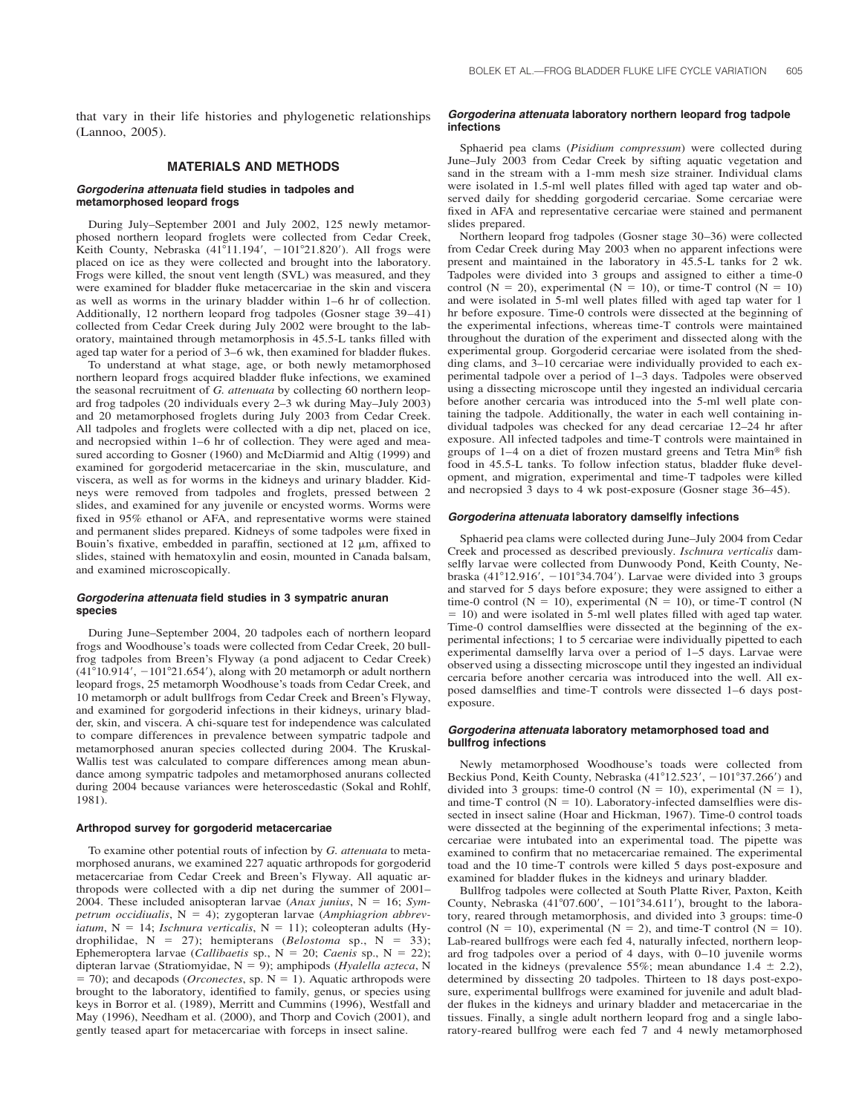that vary in their life histories and phylogenetic relationships (Lannoo, 2005).

## **MATERIALS AND METHODS**

#### *Gorgoderina attenuata* **field studies in tadpoles and metamorphosed leopard frogs**

During July–September 2001 and July 2002, 125 newly metamorphosed northern leopard froglets were collected from Cedar Creek, Keith County, Nebraska (41°11.194', -101°21.820'). All frogs were placed on ice as they were collected and brought into the laboratory. Frogs were killed, the snout vent length (SVL) was measured, and they were examined for bladder fluke metacercariae in the skin and viscera as well as worms in the urinary bladder within 1–6 hr of collection. Additionally, 12 northern leopard frog tadpoles (Gosner stage 39–41) collected from Cedar Creek during July 2002 were brought to the laboratory, maintained through metamorphosis in 45.5-L tanks filled with aged tap water for a period of 3–6 wk, then examined for bladder flukes.

To understand at what stage, age, or both newly metamorphosed northern leopard frogs acquired bladder fluke infections, we examined the seasonal recruitment of *G. attenuata* by collecting 60 northern leopard frog tadpoles (20 individuals every 2–3 wk during May–July 2003) and 20 metamorphosed froglets during July 2003 from Cedar Creek. All tadpoles and froglets were collected with a dip net, placed on ice, and necropsied within 1–6 hr of collection. They were aged and measured according to Gosner (1960) and McDiarmid and Altig (1999) and examined for gorgoderid metacercariae in the skin, musculature, and viscera, as well as for worms in the kidneys and urinary bladder. Kidneys were removed from tadpoles and froglets, pressed between 2 slides, and examined for any juvenile or encysted worms. Worms were fixed in 95% ethanol or AFA, and representative worms were stained and permanent slides prepared. Kidneys of some tadpoles were fixed in Bouin's fixative, embedded in paraffin, sectioned at  $12 \mu m$ , affixed to slides, stained with hematoxylin and eosin, mounted in Canada balsam, and examined microscopically.

#### *Gorgoderina attenuata* **field studies in 3 sympatric anuran species**

During June–September 2004, 20 tadpoles each of northern leopard frogs and Woodhouse's toads were collected from Cedar Creek, 20 bullfrog tadpoles from Breen's Flyway (a pond adjacent to Cedar Creek)  $(41^{\circ}10.914', -101^{\circ}21.654')$ , along with 20 metamorph or adult northern leopard frogs, 25 metamorph Woodhouse's toads from Cedar Creek, and 10 metamorph or adult bullfrogs from Cedar Creek and Breen's Flyway, and examined for gorgoderid infections in their kidneys, urinary bladder, skin, and viscera. A chi-square test for independence was calculated to compare differences in prevalence between sympatric tadpole and metamorphosed anuran species collected during 2004. The Kruskal-Wallis test was calculated to compare differences among mean abundance among sympatric tadpoles and metamorphosed anurans collected during 2004 because variances were heteroscedastic (Sokal and Rohlf, 1981).

#### **Arthropod survey for gorgoderid metacercariae**

To examine other potential routs of infection by *G. attenuata* to metamorphosed anurans, we examined 227 aquatic arthropods for gorgoderid metacercariae from Cedar Creek and Breen's Flyway. All aquatic arthropods were collected with a dip net during the summer of 2001– 2004. These included anisopteran larvae (*Anax junius*,  $N = 16$ ; *Sympetrum occidiualis*, N 4); zygopteran larvae (*Amphiagrion abbreviatum*,  $N = 14$ ; *Ischnura verticalis*,  $N = 11$ ); coleopteran adults (Hydrophilidae,  $N = 27$ ; hemipterans (*Belostoma* sp.,  $N = 33$ ); Ephemeroptera larvae (*Callibaetis* sp.,  $N = 20$ ; *Caenis* sp.,  $N = 22$ ); dipteran larvae (Stratiomyidae, N 9); amphipods (*Hyalella azteca*, N  $=$  70); and decapods (*Orconectes*, sp. N  $=$  1). Aquatic arthropods were brought to the laboratory, identified to family, genus, or species using keys in Borror et al. (1989), Merritt and Cummins (1996), Westfall and May (1996), Needham et al. (2000), and Thorp and Covich (2001), and gently teased apart for metacercariae with forceps in insect saline.

#### *Gorgoderina attenuata* **laboratory northern leopard frog tadpole infections**

Sphaerid pea clams (*Pisidium compressum*) were collected during June–July 2003 from Cedar Creek by sifting aquatic vegetation and sand in the stream with a 1-mm mesh size strainer. Individual clams were isolated in 1.5-ml well plates filled with aged tap water and observed daily for shedding gorgoderid cercariae. Some cercariae were fixed in AFA and representative cercariae were stained and permanent slides prepared.

Northern leopard frog tadpoles (Gosner stage 30–36) were collected from Cedar Creek during May 2003 when no apparent infections were present and maintained in the laboratory in 45.5-L tanks for 2 wk. Tadpoles were divided into 3 groups and assigned to either a time-0 control (N = 20), experimental (N = 10), or time-T control (N = 10) and were isolated in 5-ml well plates filled with aged tap water for 1 hr before exposure. Time-0 controls were dissected at the beginning of the experimental infections, whereas time-T controls were maintained throughout the duration of the experiment and dissected along with the experimental group. Gorgoderid cercariae were isolated from the shedding clams, and 3–10 cercariae were individually provided to each experimental tadpole over a period of 1–3 days. Tadpoles were observed using a dissecting microscope until they ingested an individual cercaria before another cercaria was introduced into the 5-ml well plate containing the tadpole. Additionally, the water in each well containing individual tadpoles was checked for any dead cercariae 12–24 hr after exposure. All infected tadpoles and time-T controls were maintained in groups of  $1-4$  on a diet of frozen mustard greens and Tetra Min<sup>®</sup> fish food in 45.5-L tanks. To follow infection status, bladder fluke development, and migration, experimental and time-T tadpoles were killed and necropsied 3 days to 4 wk post-exposure (Gosner stage 36–45).

### *Gorgoderina attenuata* **laboratory damselfly infections**

Sphaerid pea clams were collected during June–July 2004 from Cedar Creek and processed as described previously. *Ischnura verticalis* damselfly larvae were collected from Dunwoody Pond, Keith County, Nebraska  $(41^{\circ}12.916', -101^{\circ}34.704')$ . Larvae were divided into 3 groups and starved for 5 days before exposure; they were assigned to either a time-0 control ( $N = 10$ ), experimental ( $N = 10$ ), or time-T control (N)  $= 10$ ) and were isolated in 5-ml well plates filled with aged tap water. Time-0 control damselflies were dissected at the beginning of the experimental infections; 1 to 5 cercariae were individually pipetted to each experimental damselfly larva over a period of 1–5 days. Larvae were observed using a dissecting microscope until they ingested an individual cercaria before another cercaria was introduced into the well. All exposed damselflies and time-T controls were dissected 1–6 days postexposure.

#### *Gorgoderina attenuata* **laboratory metamorphosed toad and bullfrog infections**

Newly metamorphosed Woodhouse's toads were collected from Beckius Pond, Keith County, Nebraska (41°12.523', -101°37.266') and divided into 3 groups: time-0 control ( $N = 10$ ), experimental ( $N = 1$ ), and time-T control  $(N = 10)$ . Laboratory-infected damselflies were dissected in insect saline (Hoar and Hickman, 1967). Time-0 control toads were dissected at the beginning of the experimental infections; 3 metacercariae were intubated into an experimental toad. The pipette was examined to confirm that no metacercariae remained. The experimental toad and the 10 time-T controls were killed 5 days post-exposure and examined for bladder flukes in the kidneys and urinary bladder.

Bullfrog tadpoles were collected at South Platte River, Paxton, Keith County, Nebraska  $(41^{\circ}07.600', -101^{\circ}34.611')$ , brought to the laboratory, reared through metamorphosis, and divided into 3 groups: time-0 control (N = 10), experimental (N = 2), and time-T control (N = 10). Lab-reared bullfrogs were each fed 4, naturally infected, northern leopard frog tadpoles over a period of 4 days, with 0–10 juvenile worms located in the kidneys (prevalence 55%; mean abundance  $1.4 \pm 2.2$ ), determined by dissecting 20 tadpoles. Thirteen to 18 days post-exposure, experimental bullfrogs were examined for juvenile and adult bladder flukes in the kidneys and urinary bladder and metacercariae in the tissues. Finally, a single adult northern leopard frog and a single laboratory-reared bullfrog were each fed 7 and 4 newly metamorphosed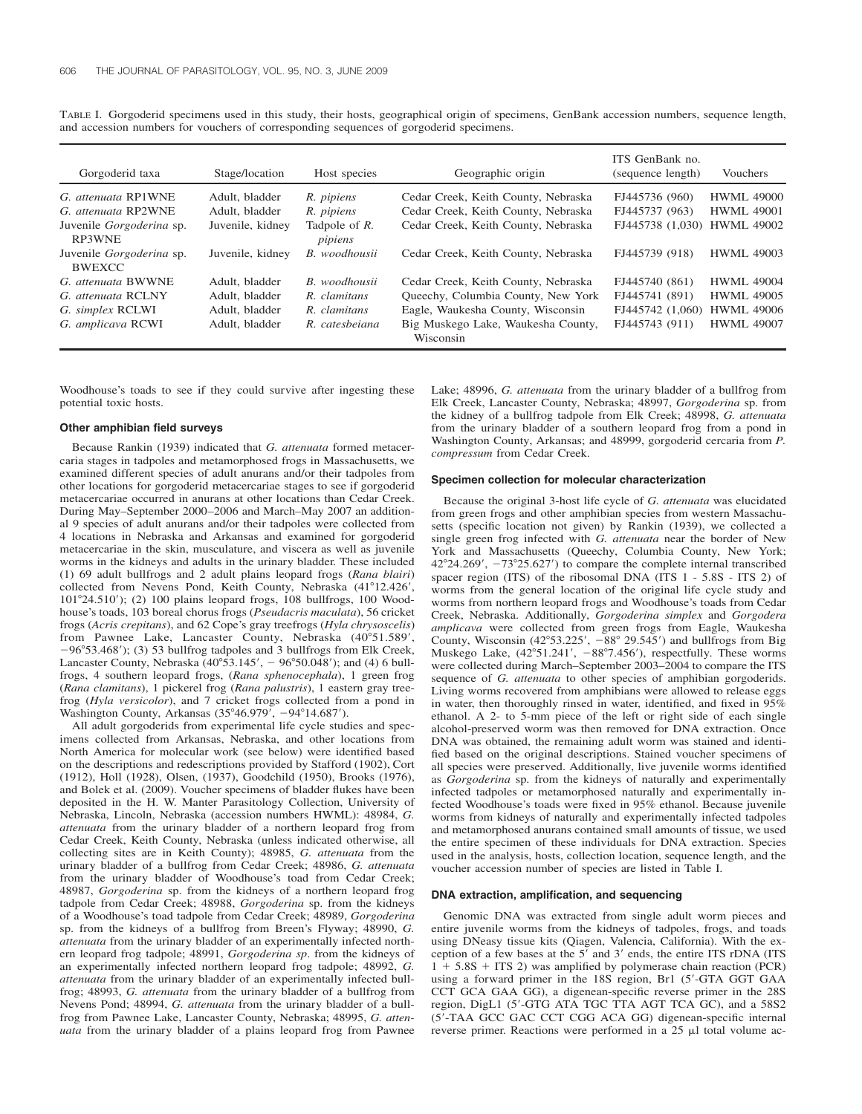| Gorgoderid taxa                           | Stage/location   | Host species                | Geographic origin                               | ITS GenBank no.<br>(sequence length) | Vouchers          |
|-------------------------------------------|------------------|-----------------------------|-------------------------------------------------|--------------------------------------|-------------------|
| G. attenuata RP1WNE                       | Adult, bladder   | R. pipiens                  | Cedar Creek, Keith County, Nebraska             | FJ445736 (960)                       | <b>HWML 49000</b> |
| G. attenuata RP2WNE                       | Adult, bladder   | R. pipiens                  | Cedar Creek, Keith County, Nebraska             | FJ445737 (963)                       | <b>HWML 49001</b> |
| Juvenile Gorgoderina sp.<br>RP3WNE        | Juvenile, kidney | Tadpole of $R$ .<br>pipiens | Cedar Creek, Keith County, Nebraska             | FJ445738 (1,030) HWML 49002          |                   |
| Juvenile Gorgoderina sp.<br><b>BWEXCC</b> | Juvenile, kidney | B. woodhousii               | Cedar Creek, Keith County, Nebraska             | FJ445739 (918)                       | <b>HWML 49003</b> |
| G. attenuata BWWNE                        | Adult, bladder   | B. woodhousii               | Cedar Creek, Keith County, Nebraska             | FJ445740 (861)                       | <b>HWML 49004</b> |
| G. attenuata RCLNY                        | Adult, bladder   | R. clamitans                | Queechy, Columbia County, New York              | FJ445741 (891)                       | <b>HWML 49005</b> |
| G. simplex RCLWI                          | Adult, bladder   | R. clamitans                | Eagle, Waukesha County, Wisconsin               | FJ445742 (1,060)                     | <b>HWML 49006</b> |
| G. amplicava RCWI                         | Adult, bladder   | R. catesbeiana              | Big Muskego Lake, Waukesha County,<br>Wisconsin | FJ445743 (911)                       | <b>HWML 49007</b> |

TABLE I. Gorgoderid specimens used in this study, their hosts, geographical origin of specimens, GenBank accession numbers, sequence length, and accession numbers for vouchers of corresponding sequences of gorgoderid specimens.

Woodhouse's toads to see if they could survive after ingesting these potential toxic hosts.

#### **Other amphibian field surveys**

Because Rankin (1939) indicated that *G. attenuata* formed metacercaria stages in tadpoles and metamorphosed frogs in Massachusetts, we examined different species of adult anurans and/or their tadpoles from other locations for gorgoderid metacercariae stages to see if gorgoderid metacercariae occurred in anurans at other locations than Cedar Creek. During May–September 2000–2006 and March–May 2007 an additional 9 species of adult anurans and/or their tadpoles were collected from 4 locations in Nebraska and Arkansas and examined for gorgoderid metacercariae in the skin, musculature, and viscera as well as juvenile worms in the kidneys and adults in the urinary bladder. These included (1) 69 adult bullfrogs and 2 adult plains leopard frogs (*Rana blairi*) collected from Nevens Pond, Keith County, Nebraska (41°12.426', 101°24.510'); (2) 100 plains leopard frogs, 108 bullfrogs, 100 Woodhouse's toads, 103 boreal chorus frogs (*Pseudacris maculata*), 56 cricket frogs (*Acris crepitans*), and 62 Cope's gray treefrogs (*Hyla chrysoscelis*) from Pawnee Lake, Lancaster County, Nebraska (40°51.589', -96°53.468'); (3) 53 bullfrog tadpoles and 3 bullfrogs from Elk Creek, Lancaster County, Nebraska  $(40^{\circ}53.145', -96^{\circ}50.048')$ ; and  $(4)$  6 bullfrogs, 4 southern leopard frogs, (*Rana sphenocephala*), 1 green frog (*Rana clamitans*), 1 pickerel frog (*Rana palustris*), 1 eastern gray treefrog (*Hyla versicolor*), and 7 cricket frogs collected from a pond in Washington County, Arkansas (35°46.979', -94°14.687').

All adult gorgoderids from experimental life cycle studies and specimens collected from Arkansas, Nebraska, and other locations from North America for molecular work (see below) were identified based on the descriptions and redescriptions provided by Stafford (1902), Cort (1912), Holl (1928), Olsen, (1937), Goodchild (1950), Brooks (1976), and Bolek et al. (2009). Voucher specimens of bladder flukes have been deposited in the H. W. Manter Parasitology Collection, University of Nebraska, Lincoln, Nebraska (accession numbers HWML): 48984, *G. attenuata* from the urinary bladder of a northern leopard frog from Cedar Creek, Keith County, Nebraska (unless indicated otherwise, all collecting sites are in Keith County); 48985, *G. attenuata* from the urinary bladder of a bullfrog from Cedar Creek; 48986, *G. attenuata* from the urinary bladder of Woodhouse's toad from Cedar Creek; 48987, *Gorgoderina* sp. from the kidneys of a northern leopard frog tadpole from Cedar Creek; 48988, *Gorgoderina* sp. from the kidneys of a Woodhouse's toad tadpole from Cedar Creek; 48989, *Gorgoderina* sp. from the kidneys of a bullfrog from Breen's Flyway; 48990, *G. attenuata* from the urinary bladder of an experimentally infected northern leopard frog tadpole; 48991, *Gorgoderina sp*. from the kidneys of an experimentally infected northern leopard frog tadpole; 48992, *G. attenuata* from the urinary bladder of an experimentally infected bullfrog; 48993, *G. attenuata* from the urinary bladder of a bullfrog from Nevens Pond; 48994, *G. attenuata* from the urinary bladder of a bullfrog from Pawnee Lake, Lancaster County, Nebraska; 48995, *G. attenuata* from the urinary bladder of a plains leopard frog from Pawnee Lake; 48996, *G. attenuata* from the urinary bladder of a bullfrog from Elk Creek, Lancaster County, Nebraska; 48997, *Gorgoderina* sp. from the kidney of a bullfrog tadpole from Elk Creek; 48998, *G. attenuata* from the urinary bladder of a southern leopard frog from a pond in Washington County, Arkansas; and 48999, gorgoderid cercaria from *P. compressum* from Cedar Creek.

#### **Specimen collection for molecular characterization**

Because the original 3-host life cycle of *G. attenuata* was elucidated from green frogs and other amphibian species from western Massachusetts (specific location not given) by Rankin (1939), we collected a single green frog infected with *G. attenuata* near the border of New York and Massachusetts (Queechy, Columbia County, New York; 42°24.269′, -73°25.627′) to compare the complete internal transcribed spacer region (ITS) of the ribosomal DNA (ITS 1 - 5.8S - ITS 2) of worms from the general location of the original life cycle study and worms from northern leopard frogs and Woodhouse's toads from Cedar Creek, Nebraska. Additionally, *Gorgoderina simplex* and *Gorgodera amplicava* were collected from green frogs from Eagle, Waukesha County, Wisconsin  $(42^{\circ}53.225', -88^{\circ}29.545')$  and bullfrogs from Big Muskego Lake,  $(42^{\circ}51.241', -88^{\circ}7.456')$ , respectfully. These worms were collected during March–September 2003–2004 to compare the ITS sequence of *G. attenuata* to other species of amphibian gorgoderids. Living worms recovered from amphibians were allowed to release eggs in water, then thoroughly rinsed in water, identified, and fixed in 95% ethanol. A 2- to 5-mm piece of the left or right side of each single alcohol-preserved worm was then removed for DNA extraction. Once DNA was obtained, the remaining adult worm was stained and identified based on the original descriptions. Stained voucher specimens of all species were preserved. Additionally, live juvenile worms identified as *Gorgoderina* sp. from the kidneys of naturally and experimentally infected tadpoles or metamorphosed naturally and experimentally infected Woodhouse's toads were fixed in 95% ethanol. Because juvenile worms from kidneys of naturally and experimentally infected tadpoles and metamorphosed anurans contained small amounts of tissue, we used the entire specimen of these individuals for DNA extraction. Species used in the analysis, hosts, collection location, sequence length, and the voucher accession number of species are listed in Table I.

#### **DNA extraction, amplification, and sequencing**

Genomic DNA was extracted from single adult worm pieces and entire juvenile worms from the kidneys of tadpoles, frogs, and toads using DNeasy tissue kits (Qiagen, Valencia, California). With the exception of a few bases at the  $5'$  and  $3'$  ends, the entire ITS rDNA (ITS  $1 + 5.8S + ITS$  2) was amplified by polymerase chain reaction (PCR) using a forward primer in the 18S region, Br1 (5-GTA GGT GAA CCT GCA GAA GG), a digenean-specific reverse primer in the 28S region, DigL1 (5'-GTG ATA TGC TTA AGT TCA GC), and a 58S2 (5-TAA GCC GAC CCT CGG ACA GG) digenean-specific internal reverse primer. Reactions were performed in a  $25 \mu l$  total volume ac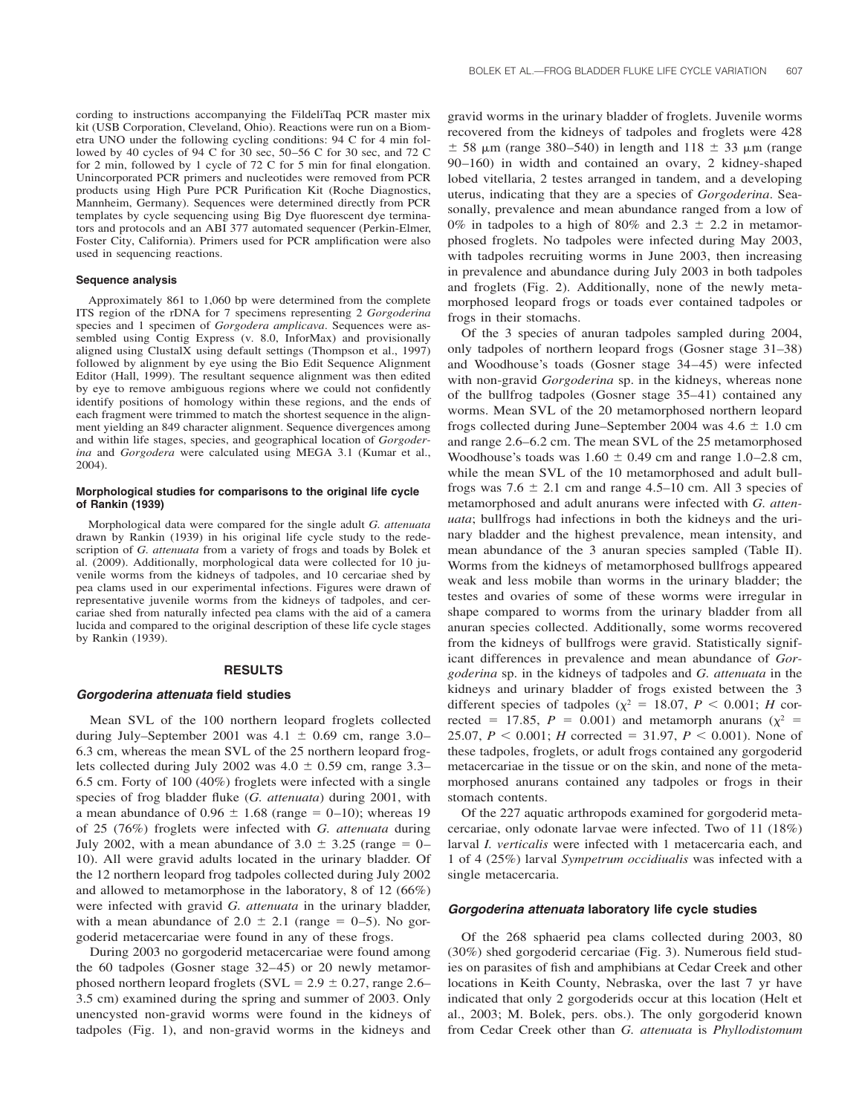cording to instructions accompanying the FildeliTaq PCR master mix kit (USB Corporation, Cleveland, Ohio). Reactions were run on a Biometra UNO under the following cycling conditions: 94 C for 4 min followed by 40 cycles of 94 C for 30 sec, 50–56 C for 30 sec, and 72 C for 2 min, followed by 1 cycle of 72 C for 5 min for final elongation. Unincorporated PCR primers and nucleotides were removed from PCR products using High Pure PCR Purification Kit (Roche Diagnostics, Mannheim, Germany). Sequences were determined directly from PCR templates by cycle sequencing using Big Dye fluorescent dye terminators and protocols and an ABI 377 automated sequencer (Perkin-Elmer, Foster City, California). Primers used for PCR amplification were also used in sequencing reactions.

#### **Sequence analysis**

Approximately 861 to 1,060 bp were determined from the complete ITS region of the rDNA for 7 specimens representing 2 *Gorgoderina* species and 1 specimen of *Gorgodera amplicava*. Sequences were assembled using Contig Express (v. 8.0, InforMax) and provisionally aligned using ClustalX using default settings (Thompson et al., 1997) followed by alignment by eye using the Bio Edit Sequence Alignment Editor (Hall, 1999). The resultant sequence alignment was then edited by eye to remove ambiguous regions where we could not confidently identify positions of homology within these regions, and the ends of each fragment were trimmed to match the shortest sequence in the alignment yielding an 849 character alignment. Sequence divergences among and within life stages, species, and geographical location of *Gorgoderina* and *Gorgodera* were calculated using MEGA 3.1 (Kumar et al., 2004).

#### **Morphological studies for comparisons to the original life cycle of Rankin (1939)**

Morphological data were compared for the single adult *G. attenuata* drawn by Rankin (1939) in his original life cycle study to the redescription of *G. attenuata* from a variety of frogs and toads by Bolek et al. (2009). Additionally, morphological data were collected for 10 juvenile worms from the kidneys of tadpoles, and 10 cercariae shed by pea clams used in our experimental infections. Figures were drawn of representative juvenile worms from the kidneys of tadpoles, and cercariae shed from naturally infected pea clams with the aid of a camera lucida and compared to the original description of these life cycle stages by Rankin (1939).

#### **RESULTS**

## *Gorgoderina attenuata* **field studies**

Mean SVL of the 100 northern leopard froglets collected during July–September 2001 was  $4.1 \pm 0.69$  cm, range 3.0– 6.3 cm, whereas the mean SVL of the 25 northern leopard froglets collected during July 2002 was  $4.0 \pm 0.59$  cm, range 3.3– 6.5 cm. Forty of 100 (40%) froglets were infected with a single species of frog bladder fluke (*G. attenuata*) during 2001, with a mean abundance of  $0.96 \pm 1.68$  (range = 0–10); whereas 19 of 25 (76%) froglets were infected with *G. attenuata* during July 2002, with a mean abundance of  $3.0 \pm 3.25$  (range = 0– 10). All were gravid adults located in the urinary bladder. Of the 12 northern leopard frog tadpoles collected during July 2002 and allowed to metamorphose in the laboratory, 8 of 12 (66%) were infected with gravid *G. attenuata* in the urinary bladder, with a mean abundance of  $2.0 \pm 2.1$  (range = 0–5). No gorgoderid metacercariae were found in any of these frogs.

During 2003 no gorgoderid metacercariae were found among the 60 tadpoles (Gosner stage 32–45) or 20 newly metamorphosed northern leopard froglets (SVL =  $2.9 \pm 0.27$ , range 2.6– 3.5 cm) examined during the spring and summer of 2003. Only unencysted non-gravid worms were found in the kidneys of tadpoles (Fig. 1), and non-gravid worms in the kidneys and

gravid worms in the urinary bladder of froglets. Juvenile worms recovered from the kidneys of tadpoles and froglets were 428  $\pm$  58 µm (range 380–540) in length and 118  $\pm$  33 µm (range 90–160) in width and contained an ovary, 2 kidney-shaped lobed vitellaria, 2 testes arranged in tandem, and a developing uterus, indicating that they are a species of *Gorgoderina*. Seasonally, prevalence and mean abundance ranged from a low of 0% in tadpoles to a high of 80% and 2.3  $\pm$  2.2 in metamorphosed froglets. No tadpoles were infected during May 2003, with tadpoles recruiting worms in June 2003, then increasing in prevalence and abundance during July 2003 in both tadpoles and froglets (Fig. 2). Additionally, none of the newly metamorphosed leopard frogs or toads ever contained tadpoles or frogs in their stomachs.

Of the 3 species of anuran tadpoles sampled during 2004, only tadpoles of northern leopard frogs (Gosner stage 31–38) and Woodhouse's toads (Gosner stage 34–45) were infected with non-gravid *Gorgoderina* sp. in the kidneys, whereas none of the bullfrog tadpoles (Gosner stage 35–41) contained any worms. Mean SVL of the 20 metamorphosed northern leopard frogs collected during June–September 2004 was  $4.6 \pm 1.0$  cm and range 2.6–6.2 cm. The mean SVL of the 25 metamorphosed Woodhouse's toads was  $1.60 \pm 0.49$  cm and range  $1.0-2.8$  cm, while the mean SVL of the 10 metamorphosed and adult bullfrogs was  $7.6 \pm 2.1$  cm and range 4.5–10 cm. All 3 species of metamorphosed and adult anurans were infected with *G. attenuata*; bullfrogs had infections in both the kidneys and the urinary bladder and the highest prevalence, mean intensity, and mean abundance of the 3 anuran species sampled (Table II). Worms from the kidneys of metamorphosed bullfrogs appeared weak and less mobile than worms in the urinary bladder; the testes and ovaries of some of these worms were irregular in shape compared to worms from the urinary bladder from all anuran species collected. Additionally, some worms recovered from the kidneys of bullfrogs were gravid. Statistically significant differences in prevalence and mean abundance of *Gorgoderina* sp. in the kidneys of tadpoles and *G. attenuata* in the kidneys and urinary bladder of frogs existed between the 3 different species of tadpoles ( $\chi^2 = 18.07$ ,  $P < 0.001$ ; *H* corrected = 17.85,  $P = 0.001$ ) and metamorph anurans ( $\chi^2$  = 25.07,  $P < 0.001$ ; *H* corrected = 31.97,  $P < 0.001$ ). None of these tadpoles, froglets, or adult frogs contained any gorgoderid metacercariae in the tissue or on the skin, and none of the metamorphosed anurans contained any tadpoles or frogs in their stomach contents.

Of the 227 aquatic arthropods examined for gorgoderid metacercariae, only odonate larvae were infected. Two of 11 (18%) larval *I. verticalis* were infected with 1 metacercaria each, and 1 of 4 (25%) larval *Sympetrum occidiualis* was infected with a single metacercaria.

#### *Gorgoderina attenuata* **laboratory life cycle studies**

Of the 268 sphaerid pea clams collected during 2003, 80 (30%) shed gorgoderid cercariae (Fig. 3). Numerous field studies on parasites of fish and amphibians at Cedar Creek and other locations in Keith County, Nebraska, over the last 7 yr have indicated that only 2 gorgoderids occur at this location (Helt et al., 2003; M. Bolek, pers. obs.). The only gorgoderid known from Cedar Creek other than *G. attenuata* is *Phyllodistomum*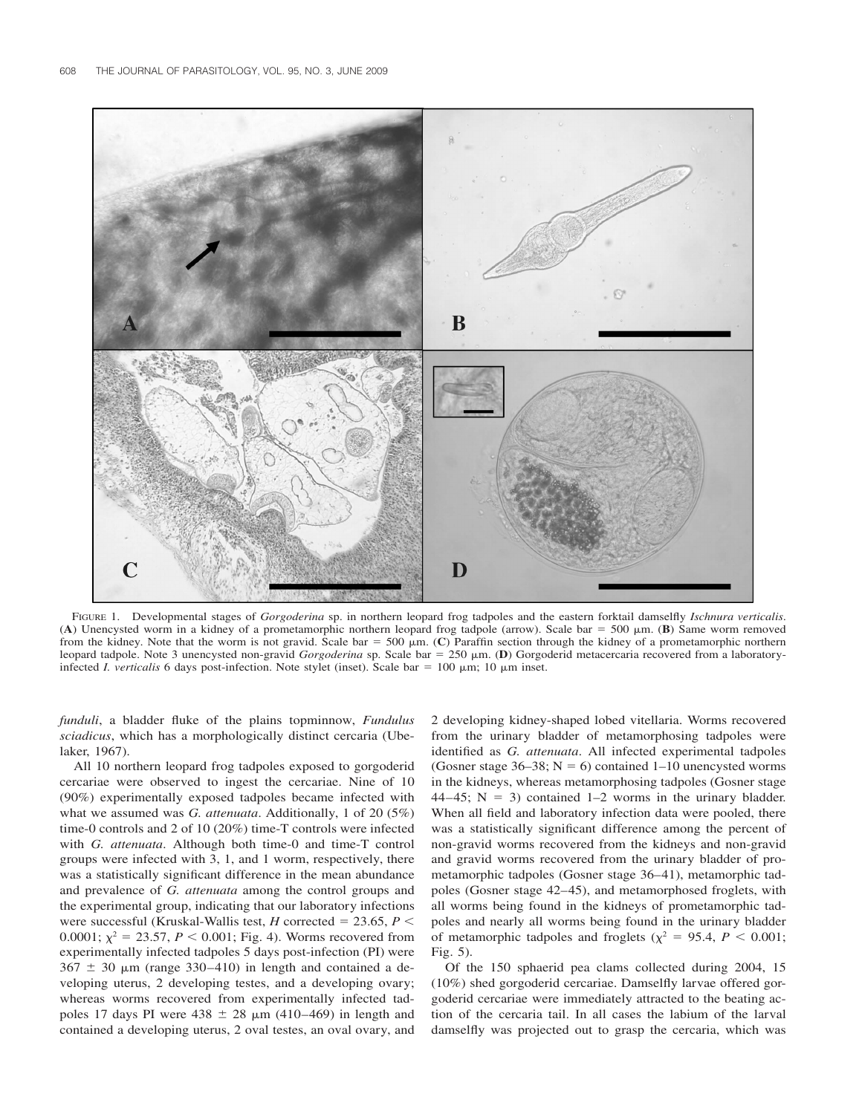

FIGURE 1. Developmental stages of *Gorgoderina* sp. in northern leopard frog tadpoles and the eastern forktail damselfly *Ischnura verticalis*. (A) Unencysted worm in a kidney of a prometamorphic northern leopard frog tadpole (arrow). Scale bar = 500 μm. (B) Same worm removed from the kidney. Note that the worm is not gravid. Scale bar  $= 500 \mu m$ . (C) Paraffin section through the kidney of a prometamorphic northern leopard tadpole. Note 3 unencysted non-gravid *Gorgoderina* sp. Scale bar = 250 μm. (D) Gorgoderid metacercaria recovered from a laboratoryinfected *I. verticalis* 6 days post-infection. Note stylet (inset). Scale bar = 100  $\mu$ m; 10  $\mu$ m inset.

*funduli*, a bladder fluke of the plains topminnow, *Fundulus sciadicus*, which has a morphologically distinct cercaria (Ubelaker, 1967).

All 10 northern leopard frog tadpoles exposed to gorgoderid cercariae were observed to ingest the cercariae. Nine of 10 (90%) experimentally exposed tadpoles became infected with what we assumed was *G. attenuata*. Additionally, 1 of 20 (5%) time-0 controls and 2 of 10 (20%) time-T controls were infected with *G. attenuata*. Although both time-0 and time-T control groups were infected with 3, 1, and 1 worm, respectively, there was a statistically significant difference in the mean abundance and prevalence of *G. attenuata* among the control groups and the experimental group, indicating that our laboratory infections were successful (Kruskal-Wallis test, *H* corrected = 23.65,  $P$  < 0.0001;  $\chi^2 = 23.57$ ,  $P < 0.001$ ; Fig. 4). Worms recovered from experimentally infected tadpoles 5 days post-infection (PI) were  $367 \pm 30$  µm (range 330–410) in length and contained a developing uterus, 2 developing testes, and a developing ovary; whereas worms recovered from experimentally infected tadpoles 17 days PI were  $438 \pm 28$  µm (410–469) in length and contained a developing uterus, 2 oval testes, an oval ovary, and

2 developing kidney-shaped lobed vitellaria. Worms recovered from the urinary bladder of metamorphosing tadpoles were identified as *G. attenuata*. All infected experimental tadpoles (Gosner stage 36–38;  $N = 6$ ) contained 1–10 unencysted worms in the kidneys, whereas metamorphosing tadpoles (Gosner stage 44–45;  $N = 3$ ) contained 1–2 worms in the urinary bladder. When all field and laboratory infection data were pooled, there was a statistically significant difference among the percent of non-gravid worms recovered from the kidneys and non-gravid and gravid worms recovered from the urinary bladder of prometamorphic tadpoles (Gosner stage 36–41), metamorphic tadpoles (Gosner stage 42–45), and metamorphosed froglets, with all worms being found in the kidneys of prometamorphic tadpoles and nearly all worms being found in the urinary bladder of metamorphic tadpoles and froglets ( $\chi^2 = 95.4$ ,  $P < 0.001$ ; Fig. 5).

Of the 150 sphaerid pea clams collected during 2004, 15 (10%) shed gorgoderid cercariae. Damselfly larvae offered gorgoderid cercariae were immediately attracted to the beating action of the cercaria tail. In all cases the labium of the larval damselfly was projected out to grasp the cercaria, which was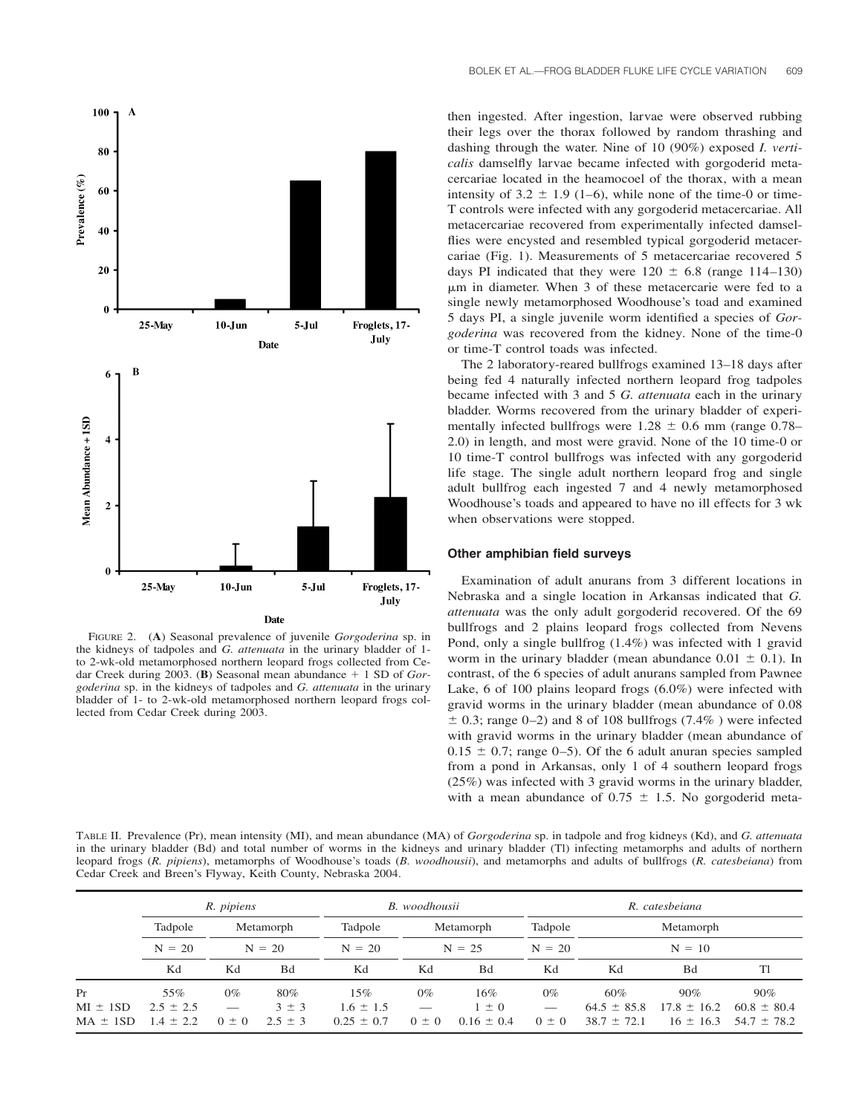

FIGURE 2. (**A**) Seasonal prevalence of juvenile *Gorgoderina* sp. in the kidneys of tadpoles and *G. attenuata* in the urinary bladder of 1 to 2-wk-old metamorphosed northern leopard frogs collected from Cedar Creek during 2003. (**B**) Seasonal mean abundance 1 SD of *Gorgoderina* sp. in the kidneys of tadpoles and *G. attenuata* in the urinary bladder of 1- to 2-wk-old metamorphosed northern leopard frogs collected from Cedar Creek during 2003.

then ingested. After ingestion, larvae were observed rubbing their legs over the thorax followed by random thrashing and dashing through the water. Nine of 10 (90%) exposed *I. verticalis* damselfly larvae became infected with gorgoderid metacercariae located in the heamocoel of the thorax, with a mean intensity of 3.2  $\pm$  1.9 (1–6), while none of the time-0 or time-T controls were infected with any gorgoderid metacercariae. All metacercariae recovered from experimentally infected damselflies were encysted and resembled typical gorgoderid metacercariae (Fig. 1). Measurements of 5 metacercariae recovered 5 days PI indicated that they were  $120 \pm 6.8$  (range  $114-130$ ) m in diameter. When 3 of these metacercarie were fed to a single newly metamorphosed Woodhouse's toad and examined 5 days PI, a single juvenile worm identified a species of *Gorgoderina* was recovered from the kidney. None of the time-0 or time-T control toads was infected.

The 2 laboratory-reared bullfrogs examined 13–18 days after being fed 4 naturally infected northern leopard frog tadpoles became infected with 3 and 5 *G. attenuata* each in the urinary bladder. Worms recovered from the urinary bladder of experimentally infected bullfrogs were  $1.28 \pm 0.6$  mm (range 0.78– 2.0) in length, and most were gravid. None of the 10 time-0 or 10 time-T control bullfrogs was infected with any gorgoderid life stage. The single adult northern leopard frog and single adult bullfrog each ingested 7 and 4 newly metamorphosed Woodhouse's toads and appeared to have no ill effects for 3 wk when observations were stopped.

#### **Other amphibian field surveys**

Examination of adult anurans from 3 different locations in Nebraska and a single location in Arkansas indicated that *G. attenuata* was the only adult gorgoderid recovered. Of the 69 bullfrogs and 2 plains leopard frogs collected from Nevens Pond, only a single bullfrog (1.4%) was infected with 1 gravid worm in the urinary bladder (mean abundance  $0.01 \pm 0.1$ ). In contrast, of the 6 species of adult anurans sampled from Pawnee Lake, 6 of 100 plains leopard frogs (6.0%) were infected with gravid worms in the urinary bladder (mean abundance of 0.08  $\pm$  0.3; range 0–2) and 8 of 108 bullfrogs (7.4%) were infected with gravid worms in the urinary bladder (mean abundance of  $0.15 \pm 0.7$ ; range 0–5). Of the 6 adult anuran species sampled from a pond in Arkansas, only 1 of 4 southern leopard frogs (25%) was infected with 3 gravid worms in the urinary bladder, with a mean abundance of  $0.75 \pm 1.5$ . No gorgoderid meta-

TABLE II. Prevalence (Pr), mean intensity (MI), and mean abundance (MA) of *Gorgoderina* sp. in tadpole and frog kidneys (Kd), and *G. attenuata* in the urinary bladder (Bd) and total number of worms in the kidneys and urinary bladder (Tl) infecting metamorphs and adults of northern leopard frogs (*R. pipiens*), metamorphs of Woodhouse's toads (*B. woodhousii*), and metamorphs and adults of bullfrogs (*R. catesbeiana*) from Cedar Creek and Breen's Flyway, Keith County, Nebraska 2004.

|                                    | R. pipiens                            |                       |                                 | B. woodhousii                          |                    |                                    |                                         | R. catesbeiana                            |                                         |                                              |  |
|------------------------------------|---------------------------------------|-----------------------|---------------------------------|----------------------------------------|--------------------|------------------------------------|-----------------------------------------|-------------------------------------------|-----------------------------------------|----------------------------------------------|--|
|                                    | Tadpole                               | Metamorph<br>$N = 20$ |                                 | Tadpole                                | Metamorph          |                                    | Tadpole                                 | Metamorph<br>$N = 10$                     |                                         |                                              |  |
|                                    | $N = 20$                              |                       |                                 | $N = 20$<br>$N = 25$                   |                    |                                    | $N = 20$                                |                                           |                                         |                                              |  |
|                                    | Kd                                    | Kd                    | <b>Bd</b>                       | Kd                                     | Kd                 | Bd                                 | Kd                                      | Kd                                        | Bd                                      | TI                                           |  |
| Pr<br>$MI \pm 1SD$<br>$MA \pm 1SD$ | 55%<br>$2.5 \pm 2.5$<br>$1.4 \pm 2.2$ | $0\%$<br>$0 \pm 0$    | 80%<br>$3 \pm 3$<br>$2.5 \pm 3$ | 15%<br>$1.6 \pm 1.5$<br>$0.25 \pm 0.7$ | $0\%$<br>$0 \pm 0$ | 16%<br>$1 \pm 0$<br>$0.16 \pm 0.4$ | $0\%$<br>$\hspace{0.05cm}$<br>$0 \pm 0$ | 60%<br>$64.5 \pm 85.8$<br>$38.7 \pm 72.1$ | 90%<br>$17.8 \pm 16.2$<br>$16 \pm 16.3$ | $90\%$<br>$60.8 \pm 80.4$<br>$54.7 \pm 78.2$ |  |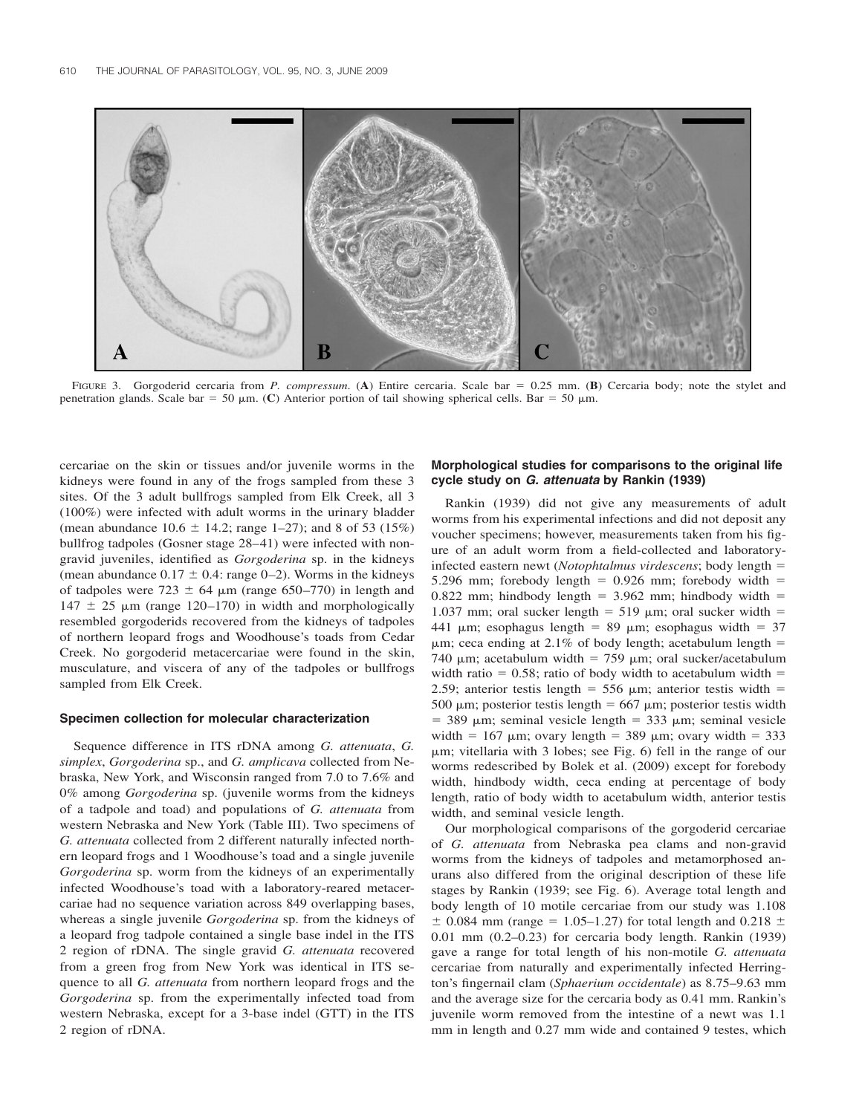

FIGURE 3. Gorgoderid cercaria from *P. compressum.* (A) Entire cercaria. Scale bar = 0.25 mm. (B) Cercaria body; note the stylet and penetration glands. Scale bar = 50  $\mu$ m. (**C**) Anterior portion of tail showing spherical cells. Bar = 50  $\mu$ m.

cercariae on the skin or tissues and/or juvenile worms in the kidneys were found in any of the frogs sampled from these 3 sites. Of the 3 adult bullfrogs sampled from Elk Creek, all 3 (100%) were infected with adult worms in the urinary bladder (mean abundance  $10.6 \pm 14.2$ ; range 1–27); and 8 of 53 (15%) bullfrog tadpoles (Gosner stage 28–41) were infected with nongravid juveniles, identified as *Gorgoderina* sp. in the kidneys (mean abundance  $0.17 \pm 0.4$ : range 0–2). Worms in the kidneys of tadpoles were 723  $\pm$  64  $\mu$ m (range 650–770) in length and  $147 \pm 25$  µm (range 120–170) in width and morphologically resembled gorgoderids recovered from the kidneys of tadpoles of northern leopard frogs and Woodhouse's toads from Cedar Creek. No gorgoderid metacercariae were found in the skin, musculature, and viscera of any of the tadpoles or bullfrogs sampled from Elk Creek.

#### **Specimen collection for molecular characterization**

Sequence difference in ITS rDNA among *G. attenuata*, *G. simplex*, *Gorgoderina* sp., and *G. amplicava* collected from Nebraska, New York, and Wisconsin ranged from 7.0 to 7.6% and 0% among *Gorgoderina* sp. (juvenile worms from the kidneys of a tadpole and toad) and populations of *G. attenuata* from western Nebraska and New York (Table III). Two specimens of *G. attenuata* collected from 2 different naturally infected northern leopard frogs and 1 Woodhouse's toad and a single juvenile *Gorgoderina* sp. worm from the kidneys of an experimentally infected Woodhouse's toad with a laboratory-reared metacercariae had no sequence variation across 849 overlapping bases, whereas a single juvenile *Gorgoderina* sp. from the kidneys of a leopard frog tadpole contained a single base indel in the ITS 2 region of rDNA. The single gravid *G. attenuata* recovered from a green frog from New York was identical in ITS sequence to all *G. attenuata* from northern leopard frogs and the *Gorgoderina* sp. from the experimentally infected toad from western Nebraska, except for a 3-base indel (GTT) in the ITS 2 region of rDNA.

# **Morphological studies for comparisons to the original life cycle study on** *G. attenuata* **by Rankin (1939)**

Rankin (1939) did not give any measurements of adult worms from his experimental infections and did not deposit any voucher specimens; however, measurements taken from his figure of an adult worm from a field-collected and laboratoryinfected eastern newt (*Notophtalmus virdescens*; body length 5.296 mm; forebody length =  $0.926$  mm; forebody width = 0.822 mm; hindbody length =  $3.962$  mm; hindbody width = 1.037 mm; oral sucker length = 519  $\mu$ m; oral sucker width = 441 µm; esophagus length = 89 µm; esophagus width = 37  $\mu$ m; ceca ending at 2.1% of body length; acetabulum length = 740  $\mu$ m; acetabulum width = 759  $\mu$ m; oral sucker/acetabulum width ratio  $= 0.58$ ; ratio of body width to acetabulum width  $=$ 2.59; anterior testis length = 556  $\mu$ m; anterior testis width = 500  $\mu$ m; posterior testis length = 667  $\mu$ m; posterior testis width  $=$  389  $\mu$ m; seminal vesicle length  $=$  333  $\mu$ m; seminal vesicle width = 167  $\mu$ m; ovary length = 389  $\mu$ m; ovary width = 333 m; vitellaria with 3 lobes; see Fig. 6) fell in the range of our worms redescribed by Bolek et al. (2009) except for forebody width, hindbody width, ceca ending at percentage of body length, ratio of body width to acetabulum width, anterior testis width, and seminal vesicle length.

Our morphological comparisons of the gorgoderid cercariae of *G. attenuata* from Nebraska pea clams and non-gravid worms from the kidneys of tadpoles and metamorphosed anurans also differed from the original description of these life stages by Rankin (1939; see Fig. 6). Average total length and body length of 10 motile cercariae from our study was 1.108  $\pm$  0.084 mm (range = 1.05–1.27) for total length and 0.218  $\pm$ 0.01 mm (0.2–0.23) for cercaria body length. Rankin (1939) gave a range for total length of his non-motile *G. attenuata* cercariae from naturally and experimentally infected Herrington's fingernail clam (*Sphaerium occidentale*) as 8.75–9.63 mm and the average size for the cercaria body as 0.41 mm. Rankin's juvenile worm removed from the intestine of a newt was 1.1 mm in length and 0.27 mm wide and contained 9 testes, which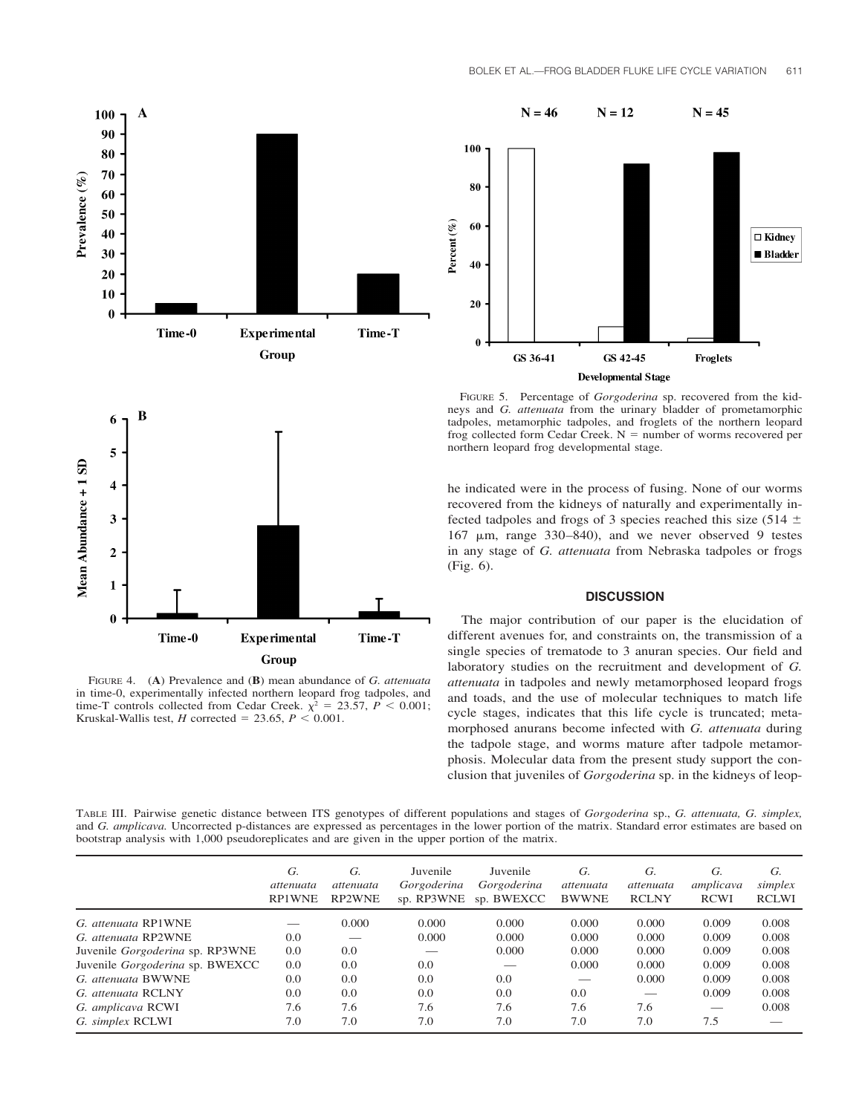

FIGURE 4. (**A**) Prevalence and (**B**) mean abundance of *G. attenuata* in time-0, experimentally infected northern leopard frog tadpoles, and time-T controls collected from Cedar Creek.  $\chi^2 = 23.57$ ,  $P < 0.001$ ; Kruskal-Wallis test,  $H$  corrected = 23.65,  $P < 0.001$ .



FIGURE 5. Percentage of *Gorgoderina* sp. recovered from the kidneys and *G. attenuata* from the urinary bladder of prometamorphic tadpoles, metamorphic tadpoles, and froglets of the northern leopard frog collected form Cedar Creek.  $N =$  number of worms recovered per northern leopard frog developmental stage.

he indicated were in the process of fusing. None of our worms recovered from the kidneys of naturally and experimentally infected tadpoles and frogs of 3 species reached this size (514  $\pm$ 167  $\mu$ m, range 330–840), and we never observed 9 testes in any stage of *G. attenuata* from Nebraska tadpoles or frogs (Fig. 6).

# **DISCUSSION**

The major contribution of our paper is the elucidation of different avenues for, and constraints on, the transmission of a single species of trematode to 3 anuran species. Our field and laboratory studies on the recruitment and development of *G. attenuata* in tadpoles and newly metamorphosed leopard frogs and toads, and the use of molecular techniques to match life cycle stages, indicates that this life cycle is truncated; metamorphosed anurans become infected with *G. attenuata* during the tadpole stage, and worms mature after tadpole metamorphosis. Molecular data from the present study support the conclusion that juveniles of *Gorgoderina* sp. in the kidneys of leop-

TABLE III. Pairwise genetic distance between ITS genotypes of different populations and stages of *Gorgoderina* sp., *G. attenuata, G. simplex,* and *G. amplicava.* Uncorrected p-distances are expressed as percentages in the lower portion of the matrix. Standard error estimates are based on bootstrap analysis with 1,000 pseudoreplicates and are given in the upper portion of the matrix.

|                                 | G.<br>attenuata<br><b>RP1WNE</b> | G.<br>attenuata<br>RP2WNE | Juvenile<br>Gorgoderina<br>sp. RP3WNE | Juvenile<br>Gorgoderina<br>sp. BWEXCC | G.<br>attenuata<br><b>BWWNE</b> | G.<br>attenuata<br><b>RCLNY</b> | G.<br>amplicava<br><b>RCWI</b> | G.<br>simplex<br><b>RCLWI</b> |
|---------------------------------|----------------------------------|---------------------------|---------------------------------------|---------------------------------------|---------------------------------|---------------------------------|--------------------------------|-------------------------------|
| G. attenuata RP1WNE             | __                               | 0.000                     | 0.000                                 | 0.000                                 | 0.000                           | 0.000                           | 0.009                          | 0.008                         |
| G. attenuata RP2WNE             | 0.0                              |                           | 0.000                                 | 0.000                                 | 0.000                           | 0.000                           | 0.009                          | 0.008                         |
| Juvenile Gorgoderina sp. RP3WNE | 0.0                              | 0.0                       |                                       | 0.000                                 | 0.000                           | 0.000                           | 0.009                          | 0.008                         |
| Juvenile Gorgoderina sp. BWEXCC | 0.0                              | 0.0                       | 0.0                                   |                                       | 0.000                           | 0.000                           | 0.009                          | 0.008                         |
| G. attenuata BWWNE              | 0.0                              | 0.0                       | 0.0                                   | 0.0                                   |                                 | 0.000                           | 0.009                          | 0.008                         |
| G. attenuata RCLNY              | 0.0                              | 0.0                       | 0.0                                   | 0.0                                   | 0.0                             |                                 | 0.009                          | 0.008                         |
| G. amplicava RCWI               | 7.6                              | 7.6                       | 7.6                                   | 7.6                                   | 7.6                             | 7.6                             |                                | 0.008                         |
| G. simplex RCLWI                | 7.0                              | 7.0                       | 7.0                                   | 7.0                                   | 7.0                             | 7.0                             | 7.5                            |                               |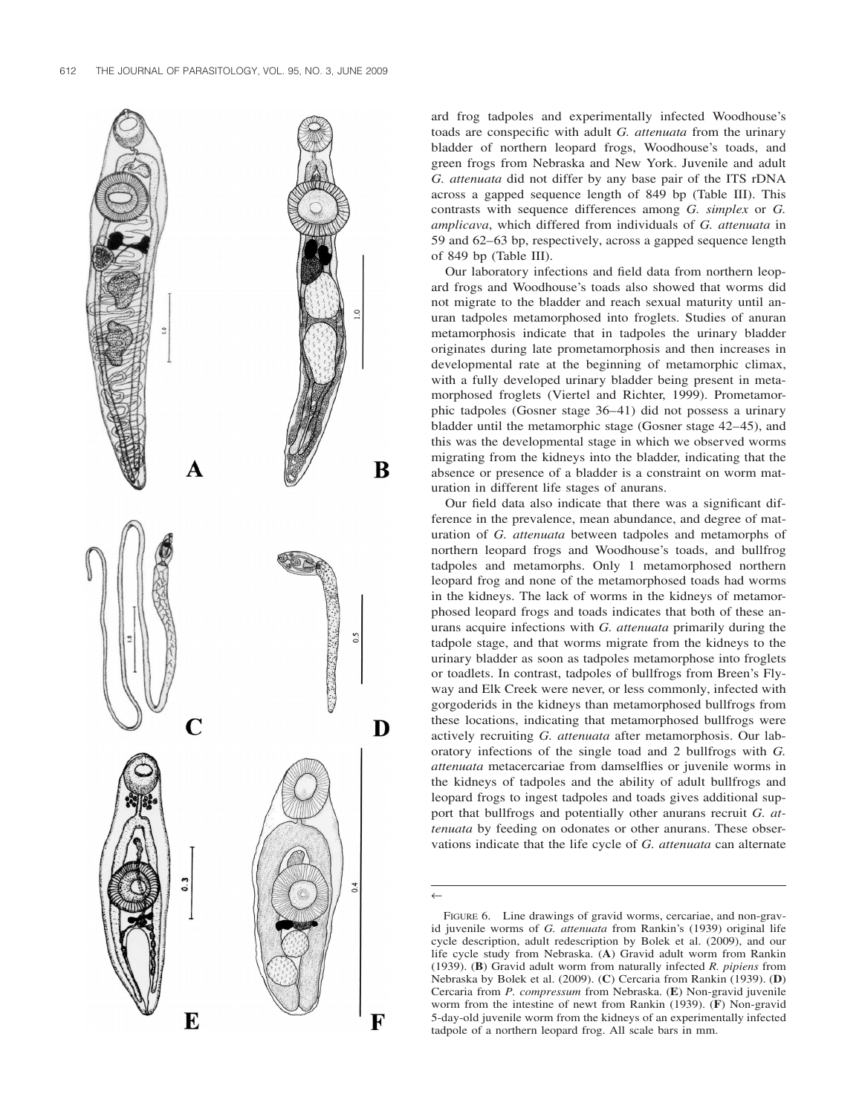

ard frog tadpoles and experimentally infected Woodhouse's toads are conspecific with adult *G. attenuata* from the urinary bladder of northern leopard frogs, Woodhouse's toads, and green frogs from Nebraska and New York. Juvenile and adult *G. attenuata* did not differ by any base pair of the ITS rDNA across a gapped sequence length of 849 bp (Table III). This contrasts with sequence differences among *G. simplex* or *G. amplicava*, which differed from individuals of *G. attenuata* in 59 and 62–63 bp, respectively, across a gapped sequence length of 849 bp (Table III).

Our laboratory infections and field data from northern leopard frogs and Woodhouse's toads also showed that worms did not migrate to the bladder and reach sexual maturity until anuran tadpoles metamorphosed into froglets. Studies of anuran metamorphosis indicate that in tadpoles the urinary bladder originates during late prometamorphosis and then increases in developmental rate at the beginning of metamorphic climax, with a fully developed urinary bladder being present in metamorphosed froglets (Viertel and Richter, 1999). Prometamorphic tadpoles (Gosner stage 36–41) did not possess a urinary bladder until the metamorphic stage (Gosner stage 42–45), and this was the developmental stage in which we observed worms migrating from the kidneys into the bladder, indicating that the absence or presence of a bladder is a constraint on worm maturation in different life stages of anurans.

Our field data also indicate that there was a significant difference in the prevalence, mean abundance, and degree of maturation of *G. attenuata* between tadpoles and metamorphs of northern leopard frogs and Woodhouse's toads, and bullfrog tadpoles and metamorphs. Only 1 metamorphosed northern leopard frog and none of the metamorphosed toads had worms in the kidneys. The lack of worms in the kidneys of metamorphosed leopard frogs and toads indicates that both of these anurans acquire infections with *G. attenuata* primarily during the tadpole stage, and that worms migrate from the kidneys to the urinary bladder as soon as tadpoles metamorphose into froglets or toadlets. In contrast, tadpoles of bullfrogs from Breen's Flyway and Elk Creek were never, or less commonly, infected with gorgoderids in the kidneys than metamorphosed bullfrogs from these locations, indicating that metamorphosed bullfrogs were actively recruiting *G. attenuata* after metamorphosis. Our laboratory infections of the single toad and 2 bullfrogs with *G. attenuata* metacercariae from damselflies or juvenile worms in the kidneys of tadpoles and the ability of adult bullfrogs and leopard frogs to ingest tadpoles and toads gives additional support that bullfrogs and potentially other anurans recruit *G. attenuata* by feeding on odonates or other anurans. These observations indicate that the life cycle of *G. attenuata* can alternate

←

FIGURE 6. Line drawings of gravid worms, cercariae, and non-gravid juvenile worms of *G. attenuata* from Rankin's (1939) original life cycle description, adult redescription by Bolek et al. (2009), and our life cycle study from Nebraska. (**A**) Gravid adult worm from Rankin (1939). (**B**) Gravid adult worm from naturally infected *R. pipiens* from Nebraska by Bolek et al. (2009). (**C**) Cercaria from Rankin (1939). (**D**) Cercaria from *P. compressum* from Nebraska. (**E**) Non-gravid juvenile worm from the intestine of newt from Rankin (1939). (**F**) Non-gravid 5-day-old juvenile worm from the kidneys of an experimentally infected tadpole of a northern leopard frog. All scale bars in mm.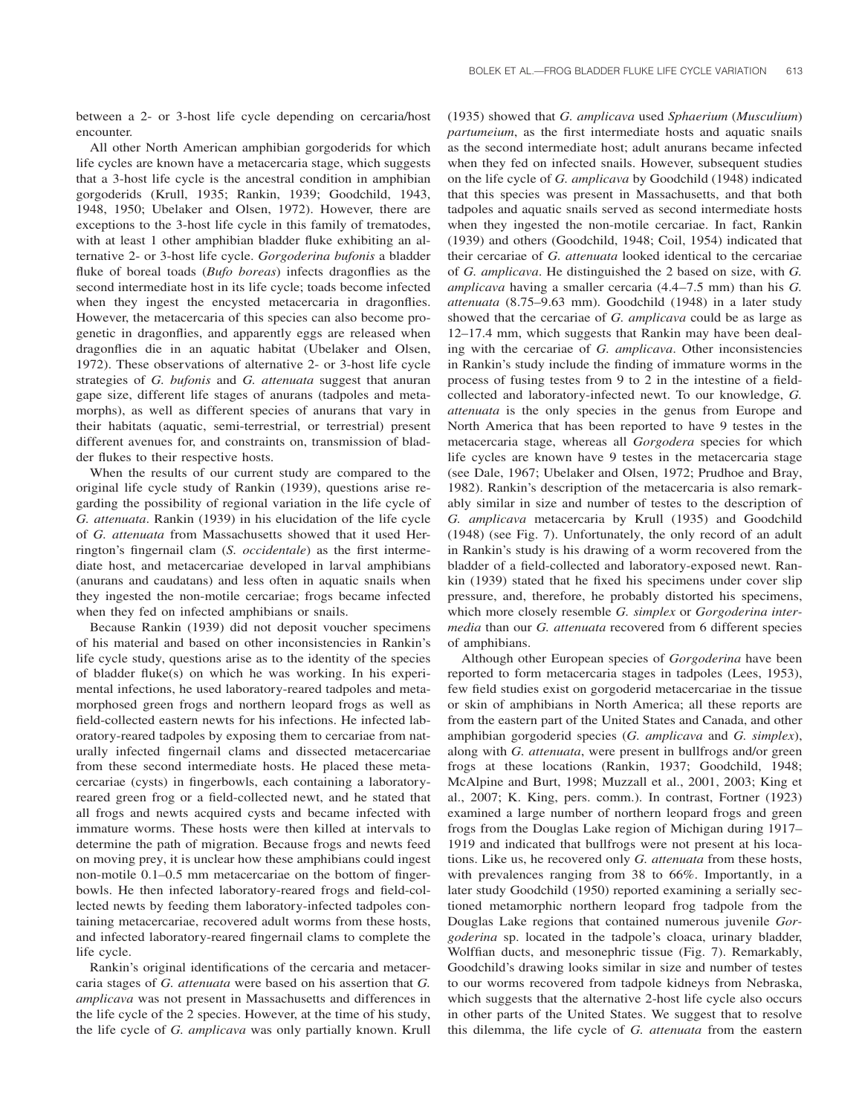between a 2- or 3-host life cycle depending on cercaria/host encounter.

All other North American amphibian gorgoderids for which life cycles are known have a metacercaria stage, which suggests that a 3-host life cycle is the ancestral condition in amphibian gorgoderids (Krull, 1935; Rankin, 1939; Goodchild, 1943, 1948, 1950; Ubelaker and Olsen, 1972). However, there are exceptions to the 3-host life cycle in this family of trematodes, with at least 1 other amphibian bladder fluke exhibiting an alternative 2- or 3-host life cycle. *Gorgoderina bufonis* a bladder fluke of boreal toads (*Bufo boreas*) infects dragonflies as the second intermediate host in its life cycle; toads become infected when they ingest the encysted metacercaria in dragonflies. However, the metacercaria of this species can also become progenetic in dragonflies, and apparently eggs are released when dragonflies die in an aquatic habitat (Ubelaker and Olsen, 1972). These observations of alternative 2- or 3-host life cycle strategies of *G. bufonis* and *G. attenuata* suggest that anuran gape size, different life stages of anurans (tadpoles and metamorphs), as well as different species of anurans that vary in their habitats (aquatic, semi-terrestrial, or terrestrial) present different avenues for, and constraints on, transmission of bladder flukes to their respective hosts.

When the results of our current study are compared to the original life cycle study of Rankin (1939), questions arise regarding the possibility of regional variation in the life cycle of *G. attenuata*. Rankin (1939) in his elucidation of the life cycle of *G. attenuata* from Massachusetts showed that it used Herrington's fingernail clam (*S. occidentale*) as the first intermediate host, and metacercariae developed in larval amphibians (anurans and caudatans) and less often in aquatic snails when they ingested the non-motile cercariae; frogs became infected when they fed on infected amphibians or snails.

Because Rankin (1939) did not deposit voucher specimens of his material and based on other inconsistencies in Rankin's life cycle study, questions arise as to the identity of the species of bladder fluke(s) on which he was working. In his experimental infections, he used laboratory-reared tadpoles and metamorphosed green frogs and northern leopard frogs as well as field-collected eastern newts for his infections. He infected laboratory-reared tadpoles by exposing them to cercariae from naturally infected fingernail clams and dissected metacercariae from these second intermediate hosts. He placed these metacercariae (cysts) in fingerbowls, each containing a laboratoryreared green frog or a field-collected newt, and he stated that all frogs and newts acquired cysts and became infected with immature worms. These hosts were then killed at intervals to determine the path of migration. Because frogs and newts feed on moving prey, it is unclear how these amphibians could ingest non-motile 0.1–0.5 mm metacercariae on the bottom of fingerbowls. He then infected laboratory-reared frogs and field-collected newts by feeding them laboratory-infected tadpoles containing metacercariae, recovered adult worms from these hosts, and infected laboratory-reared fingernail clams to complete the life cycle.

Rankin's original identifications of the cercaria and metacercaria stages of *G. attenuata* were based on his assertion that *G. amplicava* was not present in Massachusetts and differences in the life cycle of the 2 species. However, at the time of his study, the life cycle of *G. amplicava* was only partially known. Krull (1935) showed that *G. amplicava* used *Sphaerium* (*Musculium*) *partumeium*, as the first intermediate hosts and aquatic snails as the second intermediate host; adult anurans became infected when they fed on infected snails. However, subsequent studies on the life cycle of *G. amplicava* by Goodchild (1948) indicated that this species was present in Massachusetts, and that both tadpoles and aquatic snails served as second intermediate hosts when they ingested the non-motile cercariae. In fact, Rankin (1939) and others (Goodchild, 1948; Coil, 1954) indicated that their cercariae of *G. attenuata* looked identical to the cercariae of *G. amplicava*. He distinguished the 2 based on size, with *G. amplicava* having a smaller cercaria (4.4–7.5 mm) than his *G. attenuata* (8.75–9.63 mm). Goodchild (1948) in a later study showed that the cercariae of *G. amplicava* could be as large as 12–17.4 mm, which suggests that Rankin may have been dealing with the cercariae of *G. amplicava*. Other inconsistencies in Rankin's study include the finding of immature worms in the process of fusing testes from 9 to 2 in the intestine of a fieldcollected and laboratory-infected newt. To our knowledge, *G. attenuata* is the only species in the genus from Europe and North America that has been reported to have 9 testes in the metacercaria stage, whereas all *Gorgodera* species for which life cycles are known have 9 testes in the metacercaria stage (see Dale, 1967; Ubelaker and Olsen, 1972; Prudhoe and Bray, 1982). Rankin's description of the metacercaria is also remarkably similar in size and number of testes to the description of *G. amplicava* metacercaria by Krull (1935) and Goodchild (1948) (see Fig. 7). Unfortunately, the only record of an adult in Rankin's study is his drawing of a worm recovered from the bladder of a field-collected and laboratory-exposed newt. Rankin (1939) stated that he fixed his specimens under cover slip pressure, and, therefore, he probably distorted his specimens, which more closely resemble *G. simplex* or *Gorgoderina intermedia* than our *G. attenuata* recovered from 6 different species of amphibians.

Although other European species of *Gorgoderina* have been reported to form metacercaria stages in tadpoles (Lees, 1953), few field studies exist on gorgoderid metacercariae in the tissue or skin of amphibians in North America; all these reports are from the eastern part of the United States and Canada, and other amphibian gorgoderid species (*G. amplicava* and *G. simplex*), along with *G. attenuata*, were present in bullfrogs and/or green frogs at these locations (Rankin, 1937; Goodchild, 1948; McAlpine and Burt, 1998; Muzzall et al., 2001, 2003; King et al., 2007; K. King, pers. comm.). In contrast, Fortner (1923) examined a large number of northern leopard frogs and green frogs from the Douglas Lake region of Michigan during 1917– 1919 and indicated that bullfrogs were not present at his locations. Like us, he recovered only *G. attenuata* from these hosts, with prevalences ranging from 38 to 66%. Importantly, in a later study Goodchild (1950) reported examining a serially sectioned metamorphic northern leopard frog tadpole from the Douglas Lake regions that contained numerous juvenile *Gorgoderina* sp. located in the tadpole's cloaca, urinary bladder, Wolffian ducts, and mesonephric tissue (Fig. 7). Remarkably, Goodchild's drawing looks similar in size and number of testes to our worms recovered from tadpole kidneys from Nebraska, which suggests that the alternative 2-host life cycle also occurs in other parts of the United States. We suggest that to resolve this dilemma, the life cycle of *G. attenuata* from the eastern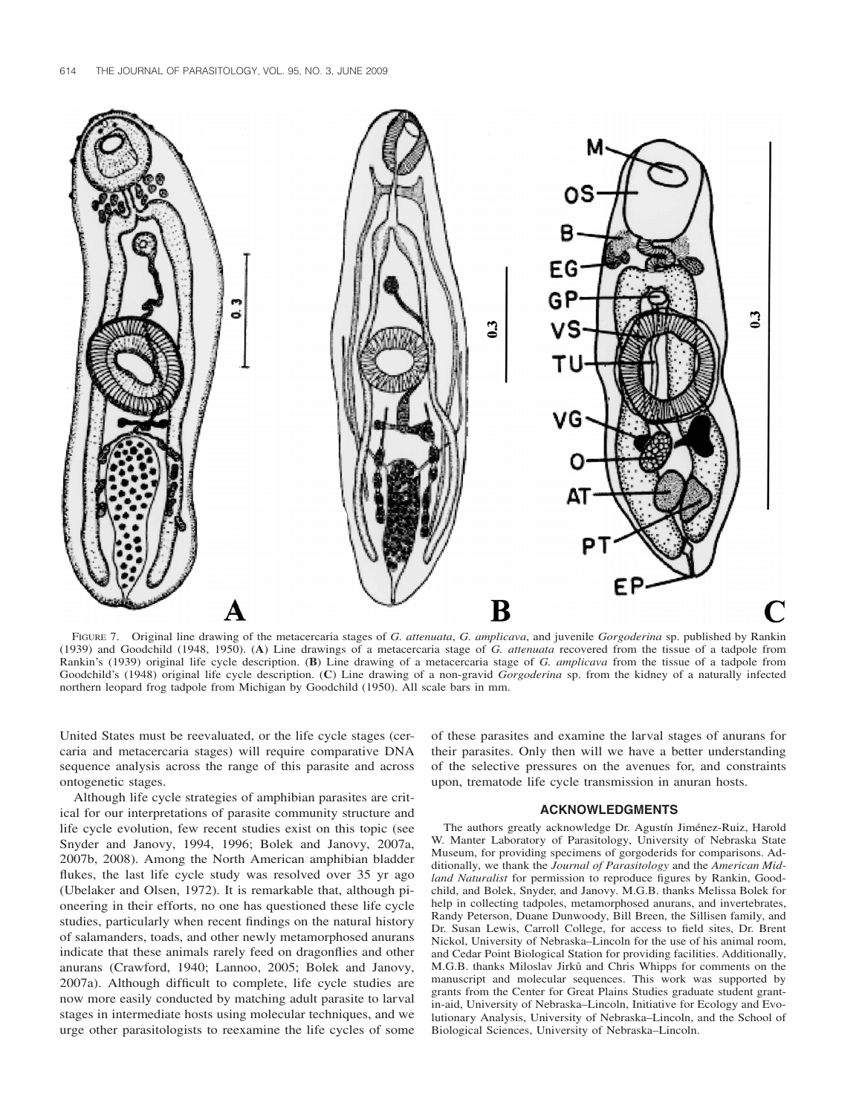

FIGURE 7. Original line drawing of the metacercaria stages of *G. attenuata*, *G. amplicava*, and juvenile *Gorgoderina* sp. published by Rankin (1939) and Goodchild (1948, 1950). (**A**) Line drawings of a metacercaria stage of *G. attenuata* recovered from the tissue of a tadpole from Rankin's (1939) original life cycle description. (**B**) Line drawing of a metacercaria stage of *G. amplicava* from the tissue of a tadpole from Goodchild's (1948) original life cycle description. (**C**) Line drawing of a non-gravid *Gorgoderina* sp. from the kidney of a naturally infected northern leopard frog tadpole from Michigan by Goodchild (1950). All scale bars in mm.

United States must be reevaluated, or the life cycle stages (cercaria and metacercaria stages) will require comparative DNA sequence analysis across the range of this parasite and across ontogenetic stages.

Although life cycle strategies of amphibian parasites are critical for our interpretations of parasite community structure and life cycle evolution, few recent studies exist on this topic (see Snyder and Janovy, 1994, 1996; Bolek and Janovy, 2007a, 2007b, 2008). Among the North American amphibian bladder flukes, the last life cycle study was resolved over 35 yr ago (Ubelaker and Olsen, 1972). It is remarkable that, although pioneering in their efforts, no one has questioned these life cycle studies, particularly when recent findings on the natural history of salamanders, toads, and other newly metamorphosed anurans indicate that these animals rarely feed on dragonflies and other anurans (Crawford, 1940; Lannoo, 2005; Bolek and Janovy, 2007a). Although difficult to complete, life cycle studies are now more easily conducted by matching adult parasite to larval stages in intermediate hosts using molecular techniques, and we urge other parasitologists to reexamine the life cycles of some

of these parasites and examine the larval stages of anurans for their parasites. Only then will we have a better understanding of the selective pressures on the avenues for, and constraints upon, trematode life cycle transmission in anuran hosts.

#### **ACKNOWLEDGMENTS**

The authors greatly acknowledge Dr. Agustín Jiménez-Ruiz, Harold W. Manter Laboratory of Parasitology, University of Nebraska State Museum, for providing specimens of gorgoderids for comparisons. Additionally, we thank the *Journal of Parasitology* and the *American Midland Naturalist* for permission to reproduce figures by Rankin, Goodchild, and Bolek, Snyder, and Janovy. M.G.B. thanks Melissa Bolek for help in collecting tadpoles, metamorphosed anurans, and invertebrates, Randy Peterson, Duane Dunwoody, Bill Breen, the Sillisen family, and Dr. Susan Lewis, Carroll College, for access to field sites, Dr. Brent Nickol, University of Nebraska–Lincoln for the use of his animal room, and Cedar Point Biological Station for providing facilities. Additionally, M.G.B. thanks Miloslav Jirků and Chris Whipps for comments on the manuscript and molecular sequences. This work was supported by grants from the Center for Great Plains Studies graduate student grantin-aid, University of Nebraska–Lincoln, Initiative for Ecology and Evolutionary Analysis, University of Nebraska–Lincoln, and the School of Biological Sciences, University of Nebraska–Lincoln.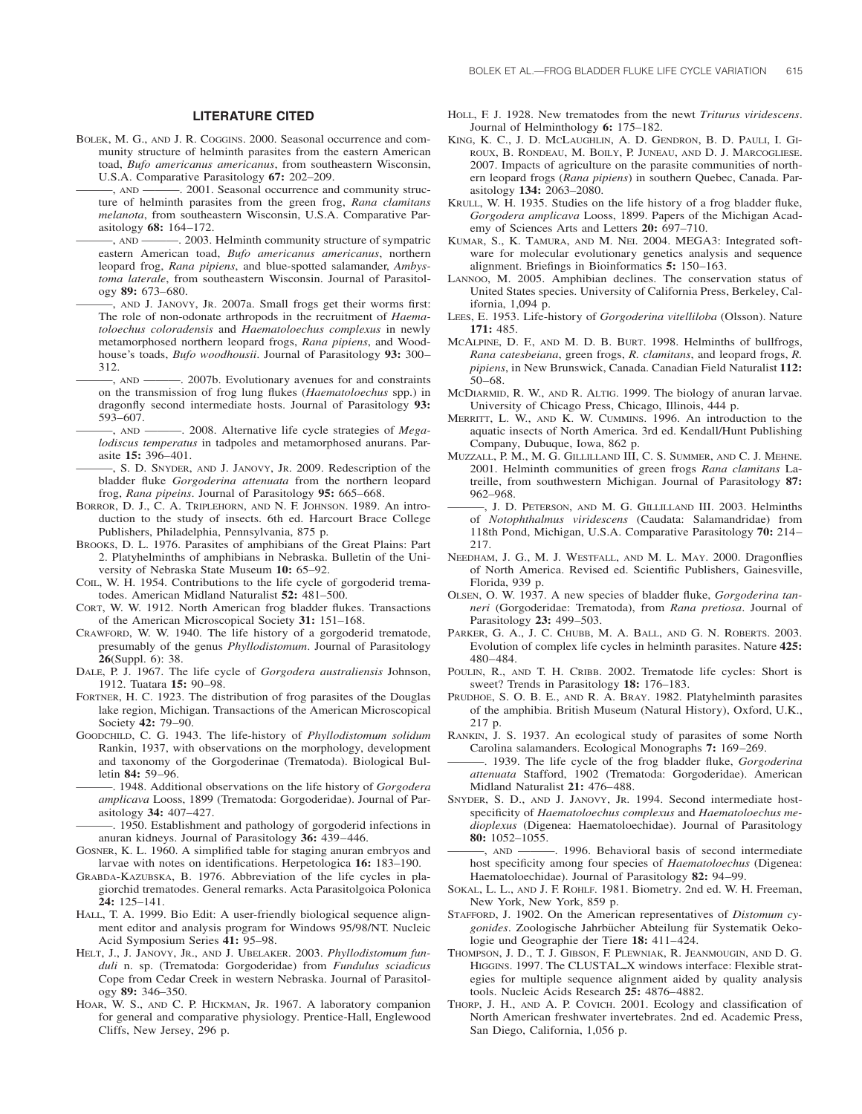# **LITERATURE CITED**

- BOLEK, M. G., AND J. R. COGGINS. 2000. Seasonal occurrence and community structure of helminth parasites from the eastern American toad, *Bufo americanus americanus*, from southeastern Wisconsin, U.S.A. Comparative Parasitology **67:** 202–209.
	- ———, AND ———. 2001. Seasonal occurrence and community structure of helminth parasites from the green frog, *Rana clamitans melanota*, from southeastern Wisconsin, U.S.A. Comparative Parasitology **68:** 164–172.
	- -, AND ————. 2003. Helminth community structure of sympatric eastern American toad, *Bufo americanus americanus*, northern leopard frog, *Rana pipiens*, and blue-spotted salamander, *Ambystoma laterale*, from southeastern Wisconsin. Journal of Parasitology **89:** 673–680.
	- -, AND J. JANOVY, JR. 2007a. Small frogs get their worms first: The role of non-odonate arthropods in the recruitment of *Haematoloechus coloradensis* and *Haematoloechus complexus* in newly metamorphosed northern leopard frogs, *Rana pipiens*, and Woodhouse's toads, *Bufo woodhousii*. Journal of Parasitology **93:** 300– 312.
	- ———, AND ———. 2007b. Evolutionary avenues for and constraints on the transmission of frog lung flukes (*Haematoloechus* spp.) in dragonfly second intermediate hosts. Journal of Parasitology **93:**  $593-607$ .<br>--, AND -
	- $-$ . 2008. Alternative life cycle strategies of *Megalodiscus temperatus* in tadpoles and metamorphosed anurans. Parasite **15:** 396–401.
- ———, S. D. SNYDER, AND J. JANOVY, JR. 2009. Redescription of the bladder fluke *Gorgoderina attenuata* from the northern leopard frog, *Rana pipeins*. Journal of Parasitology **95:** 665–668.
- BORROR, D. J., C. A. TRIPLEHORN, AND N. F. JOHNSON. 1989. An introduction to the study of insects. 6th ed. Harcourt Brace College Publishers, Philadelphia, Pennsylvania, 875 p.
- BROOKS, D. L. 1976. Parasites of amphibians of the Great Plains: Part 2. Platyhelminths of amphibians in Nebraska. Bulletin of the University of Nebraska State Museum **10:** 65–92.
- COIL, W. H. 1954. Contributions to the life cycle of gorgoderid trematodes. American Midland Naturalist **52:** 481–500.
- CORT, W. W. 1912. North American frog bladder flukes. Transactions of the American Microscopical Society **31:** 151–168.
- CRAWFORD, W. W. 1940. The life history of a gorgoderid trematode, presumably of the genus *Phyllodistomum*. Journal of Parasitology **26**(Suppl. 6): 38.
- DALE, P. J. 1967. The life cycle of *Gorgodera australiensis* Johnson, 1912. Tuatara **15:** 90–98.
- FORTNER, H. C. 1923. The distribution of frog parasites of the Douglas lake region, Michigan. Transactions of the American Microscopical Society **42:** 79–90.
- GOODCHILD, C. G. 1943. The life-history of *Phyllodistomum solidum* Rankin, 1937, with observations on the morphology, development and taxonomy of the Gorgoderinae (Trematoda). Biological Bulletin **84:** 59–96.
	- ———. 1948. Additional observations on the life history of *Gorgodera amplicava* Looss, 1899 (Trematoda: Gorgoderidae). Journal of Parasitology **34:** 407–427.
- . 1950. Establishment and pathology of gorgoderid infections in anuran kidneys. Journal of Parasitology **36:** 439–446.
- GOSNER, K. L. 1960. A simplified table for staging anuran embryos and larvae with notes on identifications. Herpetologica **16:** 183–190.
- GRABDA-KAZUBSKA, B. 1976. Abbreviation of the life cycles in plagiorchid trematodes. General remarks. Acta Parasitolgoica Polonica **24:** 125–141.
- HALL, T. A. 1999. Bio Edit: A user-friendly biological sequence alignment editor and analysis program for Windows 95/98/NT. Nucleic Acid Symposium Series **41:** 95–98.
- HELT, J., J. JANOVY, JR., AND J. UBELAKER. 2003. *Phyllodistomum funduli* n. sp. (Trematoda: Gorgoderidae) from *Fundulus sciadicus* Cope from Cedar Creek in western Nebraska. Journal of Parasitology **89:** 346–350.
- HOAR, W. S., AND C. P. HICKMAN, JR. 1967. A laboratory companion for general and comparative physiology. Prentice-Hall, Englewood Cliffs, New Jersey, 296 p.
- HOLL, F. J. 1928. New trematodes from the newt *Triturus viridescens*. Journal of Helminthology **6:** 175–182.
- KING, K. C., J. D. MCLAUGHLIN, A. D. GENDRON, B. D. PAULI, I. GI-ROUX, B. RONDEAU, M. BOILY, P. JUNEAU, AND D. J. MARCOGLIESE. 2007. Impacts of agriculture on the parasite communities of northern leopard frogs (*Rana pipiens*) in southern Quebec, Canada. Parasitology **134:** 2063–2080.
- KRULL, W. H. 1935. Studies on the life history of a frog bladder fluke, *Gorgodera amplicava* Looss, 1899. Papers of the Michigan Academy of Sciences Arts and Letters **20:** 697–710.
- KUMAR, S., K. TAMURA, AND M. NEI. 2004. MEGA3: Integrated software for molecular evolutionary genetics analysis and sequence alignment. Briefings in Bioinformatics **5:** 150–163.
- LANNOO, M. 2005. Amphibian declines. The conservation status of United States species. University of California Press, Berkeley, California, 1,094 p.
- LEES, E. 1953. Life-history of *Gorgoderina vitelliloba* (Olsson). Nature **171:** 485.
- MCALPINE, D. F., AND M. D. B. BURT. 1998. Helminths of bullfrogs, *Rana catesbeiana*, green frogs, *R. clamitans*, and leopard frogs, *R. pipiens*, in New Brunswick, Canada. Canadian Field Naturalist **112:** 50–68.
- MCDIARMID, R. W., AND R. ALTIG. 1999. The biology of anuran larvae. University of Chicago Press, Chicago, Illinois, 444 p.
- MERRITT, L. W., AND K. W. CUMMINS. 1996. An introduction to the aquatic insects of North America. 3rd ed. Kendall/Hunt Publishing Company, Dubuque, Iowa, 862 p.
- MUZZALL, P. M., M. G. GILLILLAND III, C. S. SUMMER, AND C. J. MEHNE. 2001. Helminth communities of green frogs *Rana clamitans* Latreille, from southwestern Michigan. Journal of Parasitology **87:** 962–968.
- ———, J. D. PETERSON, AND M. G. GILLILLAND III. 2003. Helminths of *Notophthalmus viridescens* (Caudata: Salamandridae) from 118th Pond, Michigan, U.S.A. Comparative Parasitology **70:** 214– 217.
- NEEDHAM, J. G., M. J. WESTFALL, AND M. L. MAY. 2000. Dragonflies of North America. Revised ed. Scientific Publishers, Gainesville, Florida, 939 p.
- OLSEN, O. W. 1937. A new species of bladder fluke, *Gorgoderina tanneri* (Gorgoderidae: Trematoda), from *Rana pretiosa*. Journal of Parasitology **23:** 499–503.
- PARKER, G. A., J. C. CHUBB, M. A. BALL, AND G. N. ROBERTS. 2003. Evolution of complex life cycles in helminth parasites. Nature **425:** 480–484.
- POULIN, R., AND T. H. CRIBB. 2002. Trematode life cycles: Short is sweet? Trends in Parasitology **18:** 176–183.
- PRUDHOE, S. O. B. E., AND R. A. BRAY. 1982. Platyhelminth parasites of the amphibia. British Museum (Natural History), Oxford, U.K., 217 p.
- RANKIN, J. S. 1937. An ecological study of parasites of some North Carolina salamanders. Ecological Monographs **7:** 169–269.
- ———. 1939. The life cycle of the frog bladder fluke, *Gorgoderina attenuata* Stafford, 1902 (Trematoda: Gorgoderidae). American Midland Naturalist **21:** 476–488.
- SNYDER, S. D., AND J. JANOVY, JR. 1994. Second intermediate hostspecificity of *Haematoloechus complexus* and *Haematoloechus medioplexus* (Digenea: Haematoloechidae). Journal of Parasitology **80:** 1052–1055.
- ———, AND ———. 1996. Behavioral basis of second intermediate host specificity among four species of *Haematoloechus* (Digenea: Haematoloechidae). Journal of Parasitology **82:** 94–99.
- SOKAL, L. L., AND J. F. ROHLF. 1981. Biometry. 2nd ed. W. H. Freeman, New York, New York, 859 p.
- STAFFORD, J. 1902. On the American representatives of *Distomum cy*gonides. Zoologische Jahrbücher Abteilung für Systematik Oekologie und Geographie der Tiere **18:** 411–424.
- THOMPSON, J. D., T. J. GIBSON, F. PLEWNIAK, R. JEANMOUGIN, AND D. G. HIGGINS. 1997. The CLUSTALX windows interface: Flexible strategies for multiple sequence alignment aided by quality analysis tools. Nucleic Acids Research **25:** 4876–4882.
- THORP, J. H., AND A. P. COVICH. 2001. Ecology and classification of North American freshwater invertebrates. 2nd ed. Academic Press, San Diego, California, 1,056 p.